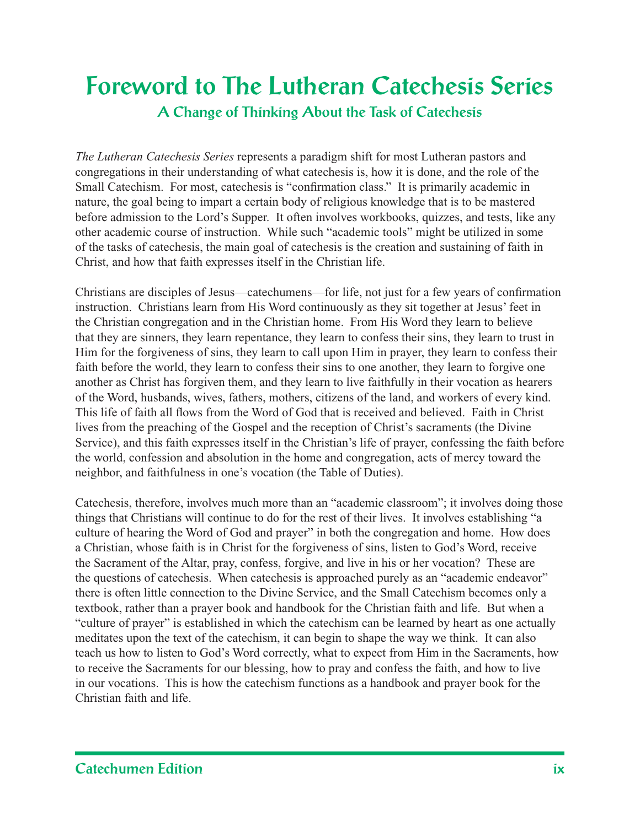### **Foreword to The Lutheran Catechesis Series A Change of Thinking About the Task of Catechesis**

*The Lutheran Catechesis Series* represents a paradigm shift for most Lutheran pastors and congregations in their understanding of what catechesis is, how it is done, and the role of the Small Catechism. For most, catechesis is "confirmation class." It is primarily academic in nature, the goal being to impart a certain body of religious knowledge that is to be mastered before admission to the Lord's Supper. It often involves workbooks, quizzes, and tests, like any other academic course of instruction. While such "academic tools" might be utilized in some of the tasks of catechesis, the main goal of catechesis is the creation and sustaining of faith in Christ, and how that faith expresses itself in the Christian life.

Christians are disciples of Jesus—catechumens—for life, not just for a few years of confirmation instruction. Christians learn from His Word continuously as they sit together at Jesus' feet in the Christian congregation and in the Christian home. From His Word they learn to believe that they are sinners, they learn repentance, they learn to confess their sins, they learn to trust in Him for the forgiveness of sins, they learn to call upon Him in prayer, they learn to confess their faith before the world, they learn to confess their sins to one another, they learn to forgive one another as Christ has forgiven them, and they learn to live faithfully in their vocation as hearers of the Word, husbands, wives, fathers, mothers, citizens of the land, and workers of every kind. This life of faith all flows from the Word of God that is received and believed. Faith in Christ lives from the preaching of the Gospel and the reception of Christ's sacraments (the Divine Service), and this faith expresses itself in the Christian's life of prayer, confessing the faith before the world, confession and absolution in the home and congregation, acts of mercy toward the neighbor, and faithfulness in one's vocation (the Table of Duties).

Catechesis, therefore, involves much more than an "academic classroom"; it involves doing those things that Christians will continue to do for the rest of their lives. It involves establishing "a culture of hearing the Word of God and prayer" in both the congregation and home. How does a Christian, whose faith is in Christ for the forgiveness of sins, listen to God's Word, receive the Sacrament of the Altar, pray, confess, forgive, and live in his or her vocation? These are the questions of catechesis. When catechesis is approached purely as an "academic endeavor" there is often little connection to the Divine Service, and the Small Catechism becomes only a textbook, rather than a prayer book and handbook for the Christian faith and life. But when a "culture of prayer" is established in which the catechism can be learned by heart as one actually meditates upon the text of the catechism, it can begin to shape the way we think. It can also teach us how to listen to God's Word correctly, what to expect from Him in the Sacraments, how to receive the Sacraments for our blessing, how to pray and confess the faith, and how to live in our vocations. This is how the catechism functions as a handbook and prayer book for the Christian faith and life.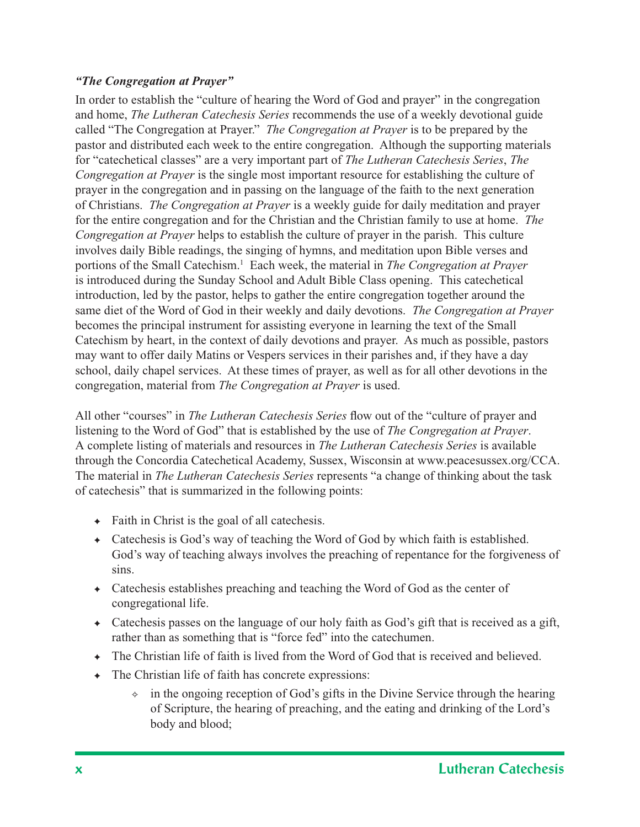#### *"The Congregation at Prayer"*

In order to establish the "culture of hearing the Word of God and prayer" in the congregation and home, *The Lutheran Catechesis Series* recommends the use of a weekly devotional guide called "The Congregation at Prayer." *The Congregation at Prayer* is to be prepared by the pastor and distributed each week to the entire congregation. Although the supporting materials for "catechetical classes" are a very important part of *The Lutheran Catechesis Series*, *The Congregation at Prayer* is the single most important resource for establishing the culture of prayer in the congregation and in passing on the language of the faith to the next generation of Christians. *The Congregation at Prayer* is a weekly guide for daily meditation and prayer for the entire congregation and for the Christian and the Christian family to use at home. *The Congregation at Prayer* helps to establish the culture of prayer in the parish. This culture involves daily Bible readings, the singing of hymns, and meditation upon Bible verses and portions of the Small Catechism.<sup>1</sup> Each week, the material in *The Congregation at Prayer* is introduced during the Sunday School and Adult Bible Class opening. This catechetical introduction, led by the pastor, helps to gather the entire congregation together around the same diet of the Word of God in their weekly and daily devotions. *The Congregation at Prayer* becomes the principal instrument for assisting everyone in learning the text of the Small Catechism by heart, in the context of daily devotions and prayer. As much as possible, pastors may want to offer daily Matins or Vespers services in their parishes and, if they have a day school, daily chapel services. At these times of prayer, as well as for all other devotions in the congregation, material from *The Congregation at Prayer* is used.

All other "courses" in *The Lutheran Catechesis Series* flow out of the "culture of prayer and listening to the Word of God" that is established by the use of *The Congregation at Prayer*. A complete listing of materials and resources in *The Lutheran Catechesis Series* is available through the Concordia Catechetical Academy, Sussex, Wisconsin at www.peacesussex.org/CCA. The material in *The Lutheran Catechesis Series* represents "a change of thinking about the task of catechesis" that is summarized in the following points:

- $\leftarrow$  Faith in Christ is the goal of all cate chesis.
- ✦ Catechesis is God's way of teaching the Word of God by which faith is established. God's way of teaching always involves the preaching of repentance for the forgiveness of sins.
- ✦ Catechesis establishes preaching and teaching the Word of God as the center of congregational life.
- $\triangle$  Catechesis passes on the language of our holy faith as God's gift that is received as a gift, rather than as something that is "force fed" into the catechumen.
- ✦ The Christian life of faith is lived from the Word of God that is received and believed.
- $\leftarrow$  The Christian life of faith has concrete expressions:
	- $\div$  in the ongoing reception of God's gifts in the Divine Service through the hearing of Scripture, the hearing of preaching, and the eating and drinking of the Lord's body and blood;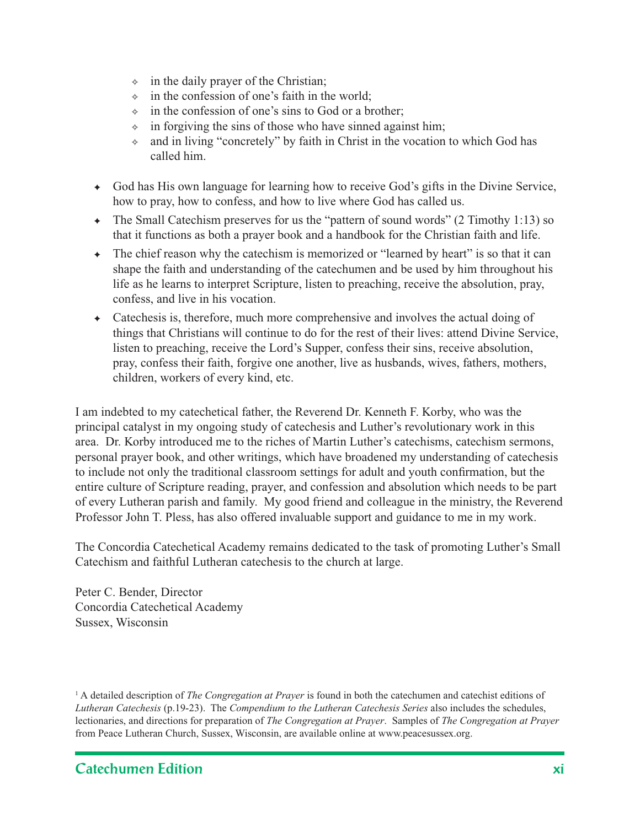- $\Diamond$  in the daily prayer of the Christian;
- $\div$  in the confession of one's faith in the world;
- ✧ in the confession of one's sins to God or a brother;
- $\Diamond$  in forgiving the sins of those who have sinned against him;
- ✧ and in living "concretely" by faith in Christ in the vocation to which God has called him.
- ✦ God has His own language for learning how to receive God's gifts in the Divine Service, how to pray, how to confess, and how to live where God has called us.
- ✦ The Small Catechism preserves for us the "pattern of sound words" (2 Timothy 1:13) so that it functions as both a prayer book and a handbook for the Christian faith and life.
- ✦ The chief reason why the catechism is memorized or "learned by heart" is so that it can shape the faith and understanding of the catechumen and be used by him throughout his life as he learns to interpret Scripture, listen to preaching, receive the absolution, pray, confess, and live in his vocation.
- ✦ Catechesis is, therefore, much more comprehensive and involves the actual doing of things that Christians will continue to do for the rest of their lives: attend Divine Service, listen to preaching, receive the Lord's Supper, confess their sins, receive absolution, pray, confess their faith, forgive one another, live as husbands, wives, fathers, mothers, children, workers of every kind, etc.

I am indebted to my catechetical father, the Reverend Dr. Kenneth F. Korby, who was the principal catalyst in my ongoing study of catechesis and Luther's revolutionary work in this area. Dr. Korby introduced me to the riches of Martin Luther's catechisms, catechism sermons, personal prayer book, and other writings, which have broadened my understanding of catechesis to include not only the traditional classroom settings for adult and youth confirmation, but the entire culture of Scripture reading, prayer, and confession and absolution which needs to be part of every Lutheran parish and family. My good friend and colleague in the ministry, the Reverend Professor John T. Pless, has also offered invaluable support and guidance to me in my work.

The Concordia Catechetical Academy remains dedicated to the task of promoting Luther's Small Catechism and faithful Lutheran catechesis to the church at large.

Peter C. Bender, Director Concordia Catechetical Academy Sussex, Wisconsin

<sup>1</sup> A detailed description of *The Congregation at Prayer* is found in both the catechumen and catechist editions of *Lutheran Catechesis* (p.19-23). The *Compendium to the Lutheran Catechesis Series* also includes the schedules, lectionaries, and directions for preparation of *The Congregation at Prayer*. Samples of *The Congregation at Prayer* from Peace Lutheran Church, Sussex, Wisconsin, are available online at www.peacesussex.org.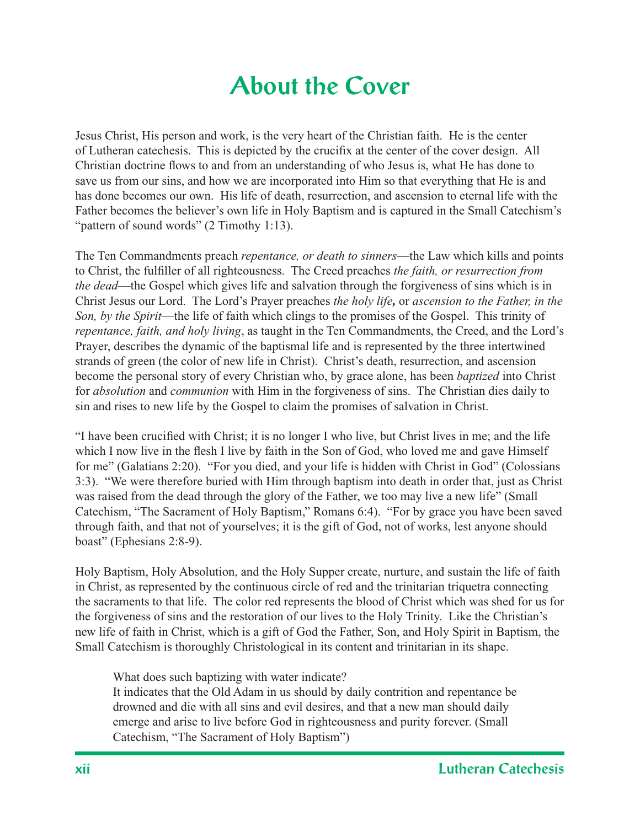## **About the Cover**

Jesus Christ, His person and work, is the very heart of the Christian faith. He is the center of Lutheran cate chesis. This is depicted by the crucifix at the center of the cover design. All Christian doctrine flows to and from an understanding of who Jesus is, what He has done to save us from our sins, and how we are incorporated into Him so that everything that He is and has done becomes our own. His life of death, resurrection, and ascension to eternal life with the Father becomes the believer's own life in Holy Baptism and is captured in the Small Catechism's "pattern of sound words" (2 Timothy 1:13).

The Ten Commandments preach *repentance, or death to sinners*—the Law which kills and points to Christ, the fulfiller of all righteousness. The Creed preaches *the faith, or resurrection from the dead*—the Gospel which gives life and salvation through the forgiveness of sins which is in Christ Jesus our Lord. The Lord's Prayer preaches *the holy life,* or *ascension to the Father, in the Son, by the Spirit*—the life of faith which clings to the promises of the Gospel. This trinity of *repentance, faith, and holy living*, as taught in the Ten Commandments, the Creed, and the Lord's Prayer, describes the dynamic of the baptismal life and is represented by the three intertwined strands of green (the color of new life in Christ). Christ's death, resurrection, and ascension become the personal story of every Christian who, by grace alone, has been *baptized* into Christ for *absolution* and *communion* with Him in the forgiveness of sins. The Christian dies daily to sin and rises to new life by the Gospel to claim the promises of salvation in Christ.

"I have been crucified with Christ; it is no longer I who live, but Christ lives in me; and the life which I now live in the flesh I live by faith in the Son of God, who loved me and gave Himself for me" (Galatians 2:20). "For you died, and your life is hidden with Christ in God" (Colossians 3:3). "We were therefore buried with Him through baptism into death in order that, just as Christ was raised from the dead through the glory of the Father, we too may live a new life" (Small Catechism, "The Sacrament of Holy Baptism," Romans 6:4). "For by grace you have been saved through faith, and that not of yourselves; it is the gift of God, not of works, lest anyone should boast" (Ephesians 2:8-9).

Holy Baptism, Holy Absolution, and the Holy Supper create, nurture, and sustain the life of faith in Christ, as represented by the continuous circle of red and the trinitarian triquetra connecting the sacraments to that life. The color red represents the blood of Christ which was shed for us for the forgiveness of sins and the restoration of our lives to the Holy Trinity. Like the Christian's new life of faith in Christ, which is a gift of God the Father, Son, and Holy Spirit in Baptism, the Small Catechism is thoroughly Christological in its content and trinitarian in its shape.

What does such baptizing with water indicate?

It indicates that the Old Adam in us should by daily contrition and repentance be drowned and die with all sins and evil desires, and that a new man should daily emerge and arise to live before God in righteousness and purity forever. (Small Catechism, "The Sacrament of Holy Baptism")